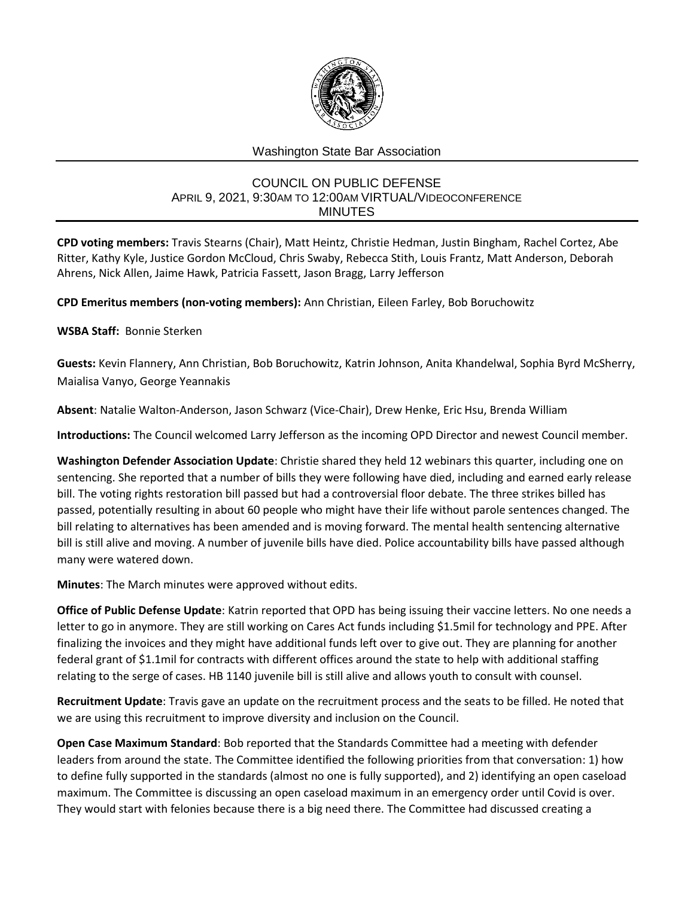

## Washington State Bar Association

## COUNCIL ON PUBLIC DEFENSE APRIL 9, 2021, 9:30AM TO 12:00AM VIRTUAL/VIDEOCONFERENCE MINUTES

**CPD voting members:** Travis Stearns (Chair), Matt Heintz, Christie Hedman, Justin Bingham, Rachel Cortez, Abe Ritter, Kathy Kyle, Justice Gordon McCloud, Chris Swaby, Rebecca Stith, Louis Frantz, Matt Anderson, Deborah Ahrens, Nick Allen, Jaime Hawk, Patricia Fassett, Jason Bragg, Larry Jefferson

**CPD Emeritus members (non-voting members):** Ann Christian, Eileen Farley, Bob Boruchowitz

**WSBA Staff:** Bonnie Sterken

**Guests:** Kevin Flannery, Ann Christian, Bob Boruchowitz, Katrin Johnson, Anita Khandelwal, Sophia Byrd McSherry, Maialisa Vanyo, George Yeannakis

**Absent**: Natalie Walton-Anderson, Jason Schwarz (Vice-Chair), Drew Henke, Eric Hsu, Brenda William

**Introductions:** The Council welcomed Larry Jefferson as the incoming OPD Director and newest Council member.

**Washington Defender Association Update**: Christie shared they held 12 webinars this quarter, including one on sentencing. She reported that a number of bills they were following have died, including and earned early release bill. The voting rights restoration bill passed but had a controversial floor debate. The three strikes billed has passed, potentially resulting in about 60 people who might have their life without parole sentences changed. The bill relating to alternatives has been amended and is moving forward. The mental health sentencing alternative bill is still alive and moving. A number of juvenile bills have died. Police accountability bills have passed although many were watered down.

**Minutes**: The March minutes were approved without edits.

**Office of Public Defense Update**: Katrin reported that OPD has being issuing their vaccine letters. No one needs a letter to go in anymore. They are still working on Cares Act funds including \$1.5mil for technology and PPE. After finalizing the invoices and they might have additional funds left over to give out. They are planning for another federal grant of \$1.1mil for contracts with different offices around the state to help with additional staffing relating to the serge of cases. HB 1140 juvenile bill is still alive and allows youth to consult with counsel.

**Recruitment Update**: Travis gave an update on the recruitment process and the seats to be filled. He noted that we are using this recruitment to improve diversity and inclusion on the Council.

**Open Case Maximum Standard**: Bob reported that the Standards Committee had a meeting with defender leaders from around the state. The Committee identified the following priorities from that conversation: 1) how to define fully supported in the standards (almost no one is fully supported), and 2) identifying an open caseload maximum. The Committee is discussing an open caseload maximum in an emergency order until Covid is over. They would start with felonies because there is a big need there. The Committee had discussed creating a